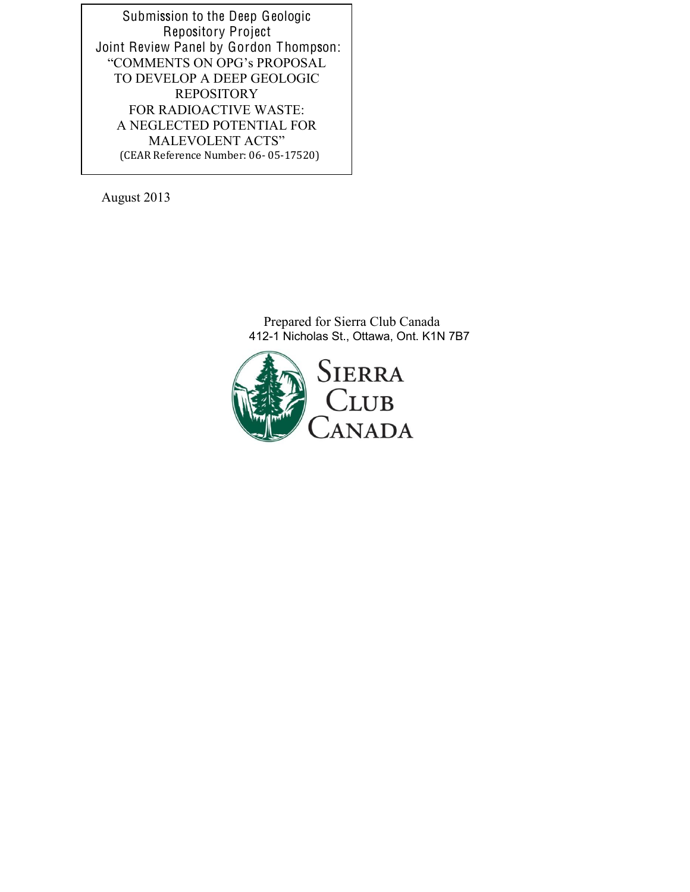Submission to the Deep Geologic Repository Project Joint Review Panel by Gordon Thompson: "COMMENTS ON OPG's PROPOSAL TO DEVELOP A DEEP GEOLOGIC **REPOSITORY** FOR RADIOACTIVE WASTE: A NEGLECTED POTENTIAL FOR MALEVOLENT ACTS" (CEAR Reference Number: 06-05-17520)

August 2013

Prepared for Sierra Club Canada 412-1 Nicholas St., Ottawa, Ont. K1N 7B7

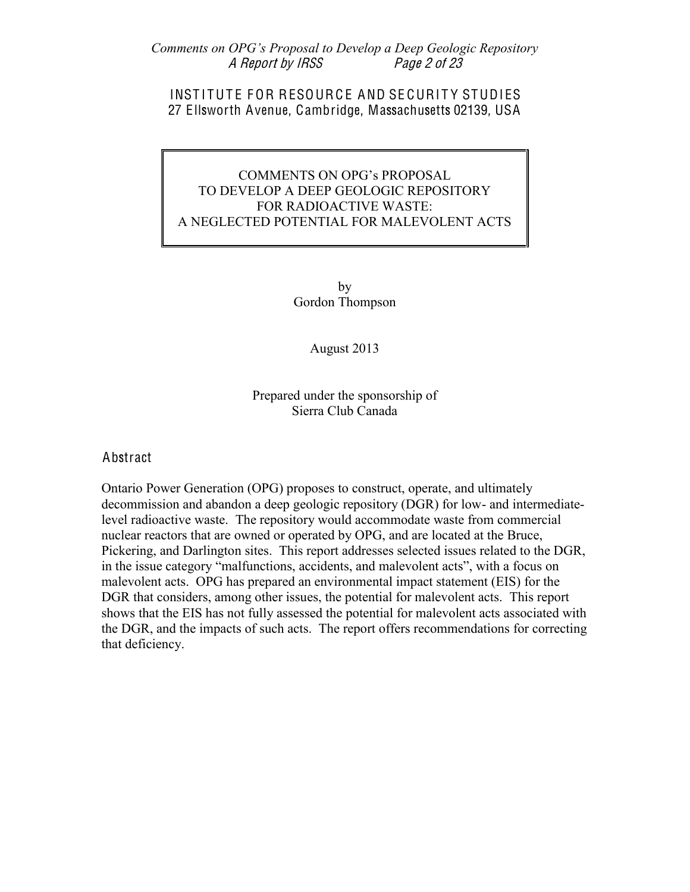Comments on OPG's Proposal to Develop a Deep Geologic Repository A Report by IRSS Pag<sup>e</sup> 2 <sup>o</sup>f 23

#### INSTITUTE FOR RESOURCE AND SECURITY STUDIES 27 Ellsworth Avenue, Cambridge, Massachusetts 02139, USA

## COMMENTS ON OPG's PROPOSAL TO DEVELOP A DEEP GEOLOGIC REPOSITORY FOR RADIOACTIVE WASTE: A NEGLECTED POTENTIAL FOR MALEVOLENT ACTS

by Gordon Thompson

#### August 2013

Prepared under the sponsorship of Sierra Club Canada

#### Abstract

Ontario Power Generation (OPG) proposes to construct, operate, and ultimately decommission and abandon a deep geologic repository (DGR) for low- and intermediatelevel radioactive waste. The repository would accommodate waste from commercial nuclear reactors that are owned or operated by OPG, and are located at the Bruce, Pickering, and Darlington sites. This report addresses selected issues related to the DGR, in the issue category "malfunctions, accidents, and malevolent acts", with a focus on malevolent acts. OPG has prepared an environmental impact statement (EIS) for the DGR that considers, among other issues, the potential for malevolent acts. This report shows that the EIS has not fully assessed the potential for malevolent acts associated with the DGR, and the impacts of such acts. The report offers recommendations for correcting that deficiency.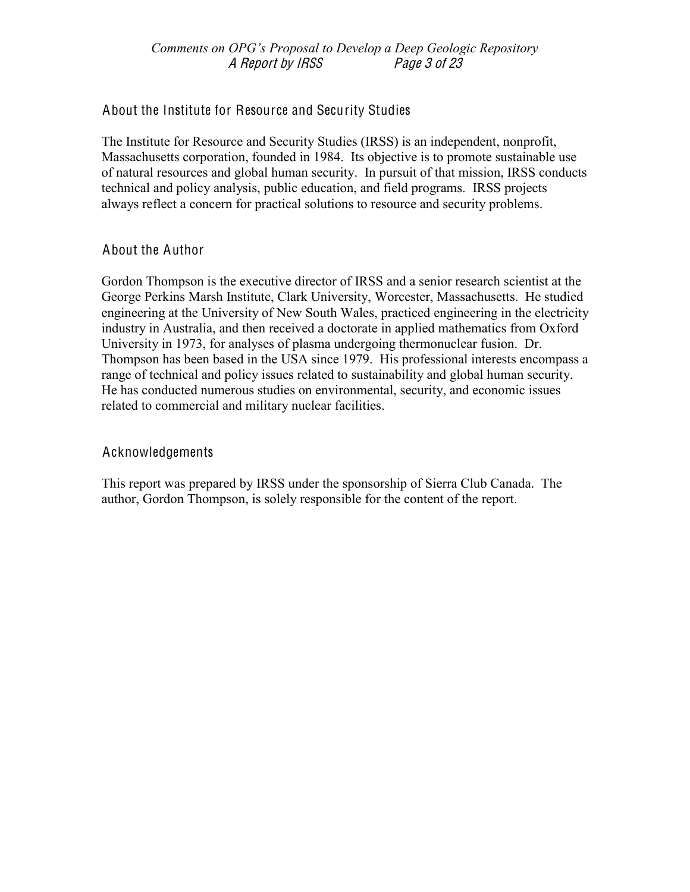#### Comments on OPG's Proposal to Develop a Deep Geologic Repository A Report by IRSS Pag<sup>e</sup> 3 <sup>o</sup>f 23

## About the Institute for Resource and Security Studies

The Institute for Resource and Security Studies (IRSS) is an independent, nonprofit, Massachusetts corporation, founded in 1984. Its objective is to promote sustainable use of natural resources and global human security. In pursuit of that mission, IRSS conducts technical and policy analysis, public education, and field programs. IRSS projects always reflect a concern for practical solutions to resource and security problems.

## About the Author

Gordon Thompson is the executive director of IRSS and a senior research scientist at the George Perkins Marsh Institute, Clark University, Worcester, Massachusetts. He studied engineering at the University of New South Wales, practiced engineering in the electricity industry in Australia, and then received a doctorate in applied mathematics from Oxford University in 1973, for analyses of plasma undergoing thermonuclear fusion. Dr. Thompson has been based in the USA since 1979. His professional interests encompass a range of technical and policy issues related to sustainability and global human security. He has conducted numerous studies on environmental, security, and economic issues related to commercial and military nuclear facilities.

#### Acknowledgements

This report was prepared by IRSS under the sponsorship of Sierra Club Canada. The author, Gordon Thompson, is solely responsible for the content of the report.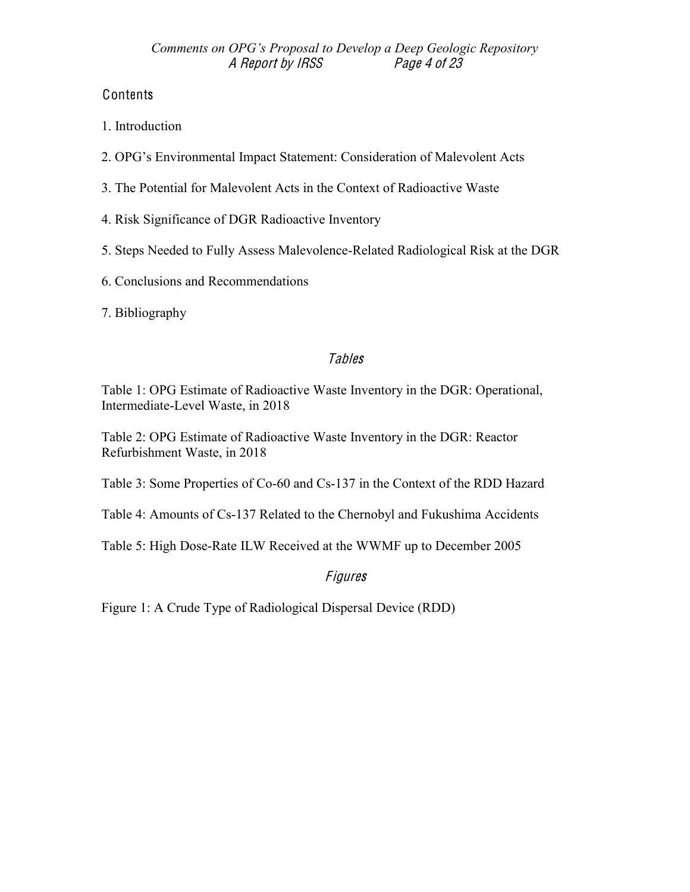# Contents

- 1. Introduction
- 2. OPG's Environmental Impact Statement: Consideration of Malevolent Acts
- 3. The Potential for Malevolent Acts in the Context of Radioactive Waste
- 4. Risk Significance of DGR Radioactive Inventory
- 5. Steps Needed to Fully Assess Malevolence-Related Radiological Risk at the DGR
- 6. Conclusions and Recommendations
- 7. Bibliography

# **Tables**

Table 1: OPG Estimate of Radioactive Waste Inventory in the DGR: Operational, Intermediate-Level Waste, in 2018

Table 2: OPG Estimate of Radioactive Waste Inventory in the DGR: Reactor Refurbishment Waste, in 2018

Table 3: Some Properties of Co-60 and Cs-137 in the Context of the RDD Hazard

Table 4: Amounts of Cs-137 Related to the Chernobyl and Fukushima Accidents

Table 5: High Dose-Rate ILW Received at the WWMF up to December 2005

# Figures

Figure 1: A Crude Type of Radiological Dispersal Device (RDD)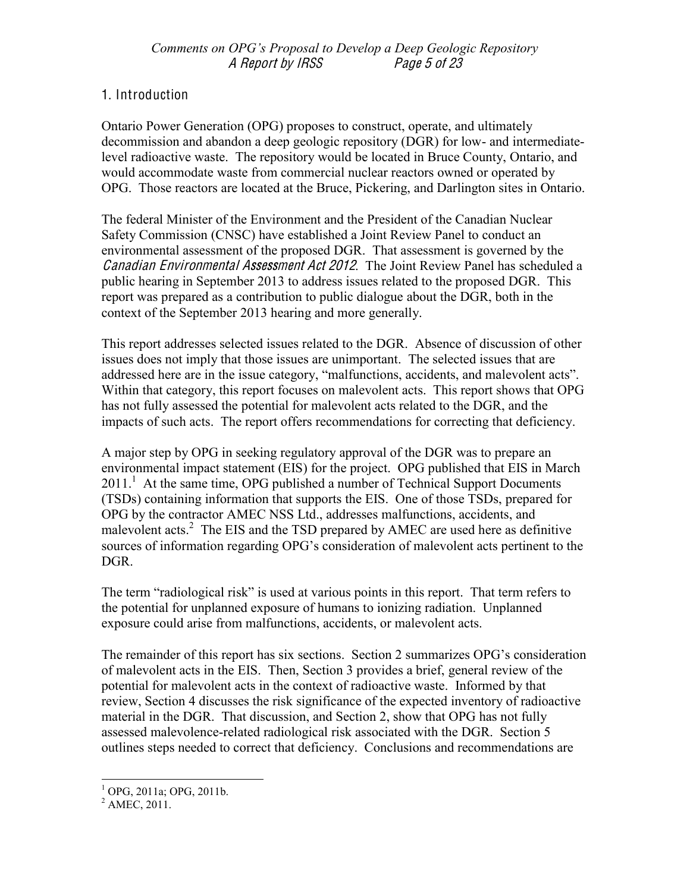# 1. Introduction

Ontario Power Generation (OPG) proposes to construct, operate, and ultimately decommission and abandon a deep geologic repository (DGR) for low- and intermediatelevel radioactive waste. The repository would be located in Bruce County, Ontario, and would accommodate waste from commercial nuclear reactors owned or operated by OPG. Those reactors are located at the Bruce, Pickering, and Darlington sites in Ontario.

The federal Minister of the Environment and the President of the Canadian Nuclear Safety Commission (CNSC) have established a Joint Review Panel to conduct an environmental assessment of the proposed DGR. That assessment is governed by the Canadian Environmental Assessmen<sup>t</sup> Ac<sup>t</sup> 2012. The Joint Review Panel has scheduled a public hearing in September 2013 to address issues related to the proposed DGR. This report was prepared as a contribution to public dialogue about the DGR, both in the context of the September 2013 hearing and more generally.

This report addresses selected issues related to the DGR. Absence of discussion of other issues does not imply that those issues are unimportant. The selected issues that are addressed here are in the issue category, "malfunctions, accidents, and malevolent acts". Within that category, this report focuses on malevolent acts. This report shows that OPG has not fully assessed the potential for malevolent acts related to the DGR, and the impacts of such acts. The report offers recommendations for correcting that deficiency.

A major step by OPG in seeking regulatory approval of the DGR was to prepare an environmental impact statement (EIS) for the project. OPG published that EIS in March 2011.<sup>1</sup> At the same time, OPG published a number of Technical Support Documents (TSDs) containing information that supports the EIS. One of those TSDs, prepared for OPG by the contractor AMEC NSS Ltd., addresses malfunctions, accidents, and malevolent acts.<sup>2</sup> The EIS and the TSD prepared by AMEC are used here as definitive sources of information regarding OPG's consideration of malevolent acts pertinent to the DGR.

The term "radiological risk" is used at various points in this report. That term refers to the potential for unplanned exposure of humans to ionizing radiation. Unplanned exposure could arise from malfunctions, accidents, or malevolent acts.

The remainder of this report has six sections. Section 2 summarizes OPG's consideration of malevolent acts in the EIS. Then, Section 3 provides a brief, general review of the potential for malevolent acts in the context of radioactive waste. Informed by that review, Section 4 discusses the risk significance of the expected inventory of radioactive material in the DGR. That discussion, and Section 2, show that OPG has not fully assessed malevolence-related radiological risk associated with the DGR. Section 5 outlines steps needed to correct that deficiency. Conclusions and recommendations are

 $1^{1}$  OPG, 2011a; OPG, 2011b.

 $^{2}$  AMEC, 2011.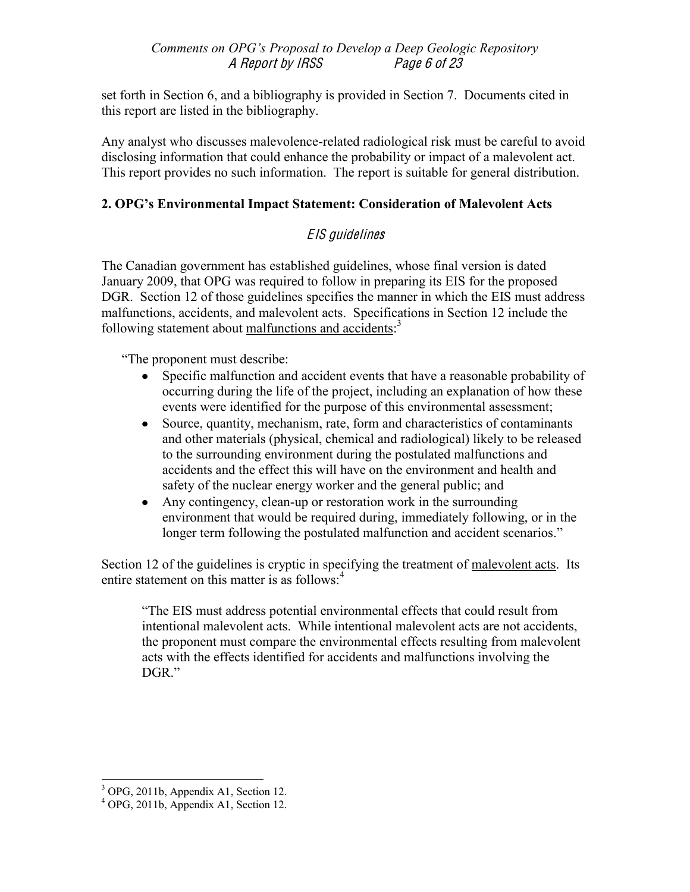set forth in Section 6, and a bibliography is provided in Section 7. Documents cited in this report are listed in the bibliography.

Any analyst who discusses malevolence-related radiological risk must be careful to avoid disclosing information that could enhance the probability or impact of a malevolent act. This report provides no such information. The report is suitable for general distribution.

# 2. OPG's Environmental Impact Statement: Consideration of Malevolent Acts

# EIS guideline<sup>s</sup>

The Canadian government has established guidelines, whose final version is dated January 2009, that OPG was required to follow in preparing its EIS for the proposed DGR. Section 12 of those guidelines specifies the manner in which the EIS must address malfunctions, accidents, and malevolent acts. Specifications in Section 12 include the following statement about malfunctions and accidents:<sup>3</sup>

"The proponent must describe:

- Specific malfunction and accident events that have a reasonable probability of  $\bullet$ occurring during the life of the project, including an explanation of how these events were identified for the purpose of this environmental assessment;
- Source, quantity, mechanism, rate, form and characteristics of contaminants  $\bullet$ and other materials (physical, chemical and radiological) likely to be released to the surrounding environment during the postulated malfunctions and accidents and the effect this will have on the environment and health and safety of the nuclear energy worker and the general public; and
- Any contingency, clean-up or restoration work in the surrounding  $\bullet$ environment that would be required during, immediately following, or in the longer term following the postulated malfunction and accident scenarios.<sup>"</sup>

Section 12 of the guidelines is cryptic in specifying the treatment of malevolent acts. Its entire statement on this matter is as follows: $<sup>4</sup>$ </sup>

"The EIS must address potential environmental effects that could result from intentional malevolent acts. While intentional malevolent acts are not accidents, the proponent must compare the environmental effects resulting from malevolent acts with the effects identified for accidents and malfunctions involving the DGR."

 $1<sup>3</sup>$  OPG, 2011b, Appendix A1, Section 12.

 $4$  OPG, 2011b, Appendix A1, Section 12.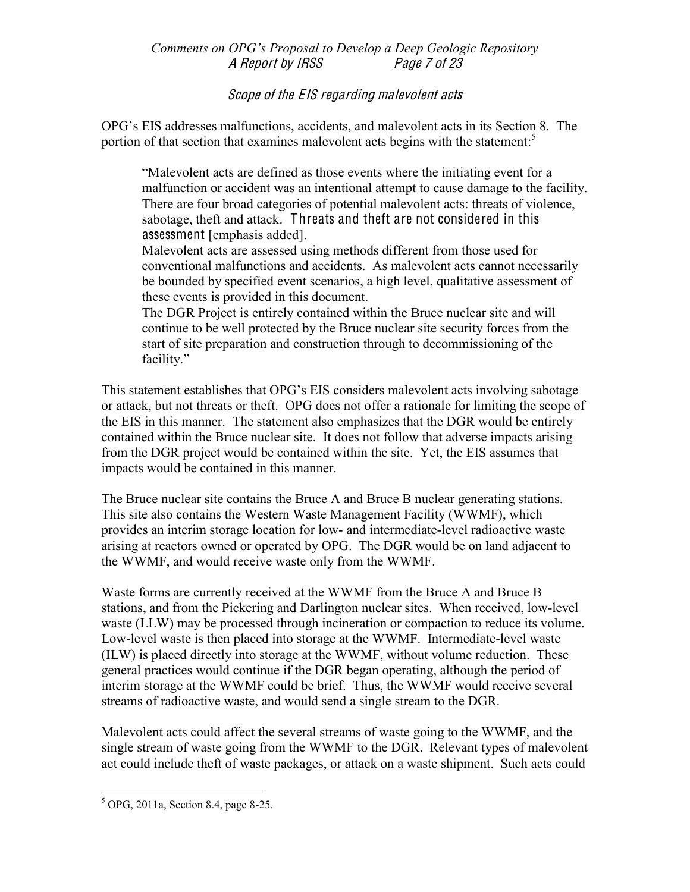Comments on OPG's Proposal to Develop a Deep Geologic Repository A Report by IRSS Page 7 of 23

Scop<sup>e</sup> <sup>o</sup>f th<sup>e</sup> EIS <sup>r</sup><sup>e</sup>garding malevolent <sup>a</sup>cts

OPG's EIS addresses malfunctions, accidents, and malevolent acts in its Section 8. The portion of that section that examines malevolent acts begins with the statement:<sup>5</sup>

³Malevolent acts are defined as those events where the initiating event for a malfunction or accident was an intentional attempt to cause damage to the facility. There are four broad categories of potential malevolent acts: threats of violence, sabotage, theft and attack. Threats and theft are not considered in this assessment [emphasis added].

Malevolent acts are assessed using methods different from those used for conventional malfunctions and accidents. As malevolent acts cannot necessarily be bounded by specified event scenarios, a high level, qualitative assessment of these events is provided in this document.

The DGR Project is entirely contained within the Bruce nuclear site and will continue to be well protected by the Bruce nuclear site security forces from the start of site preparation and construction through to decommissioning of the facility."

This statement establishes that OPG's EIS considers malevolent acts involving sabotage or attack, but not threats or theft. OPG does not offer a rationale for limiting the scope of the EIS in this manner. The statement also emphasizes that the DGR would be entirely contained within the Bruce nuclear site. It does not follow that adverse impacts arising from the DGR project would be contained within the site. Yet, the EIS assumes that impacts would be contained in this manner.

The Bruce nuclear site contains the Bruce A and Bruce B nuclear generating stations. This site also contains the Western Waste Management Facility (WWMF), which provides an interim storage location for low- and intermediate-level radioactive waste arising at reactors owned or operated by OPG. The DGR would be on land adjacent to the WWMF, and would receive waste only from the WWMF.

Waste forms are currently received at the WWMF from the Bruce A and Bruce B stations, and from the Pickering and Darlington nuclear sites. When received, low-level waste (LLW) may be processed through incineration or compaction to reduce its volume. Low-level waste is then placed into storage at the WWMF. Intermediate-level waste (ILW) is placed directly into storage at the WWMF, without volume reduction. These general practices would continue if the DGR began operating, although the period of interim storage at the WWMF could be brief. Thus, the WWMF would receive several streams of radioactive waste, and would send a single stream to the DGR.

Malevolent acts could affect the several streams of waste going to the WWMF, and the single stream of waste going from the WWMF to the DGR. Relevant types of malevolent act could include theft of waste packages, or attack on a waste shipment. Such acts could

 ${}^{5}$  OPG, 2011a, Section 8.4, page 8-25.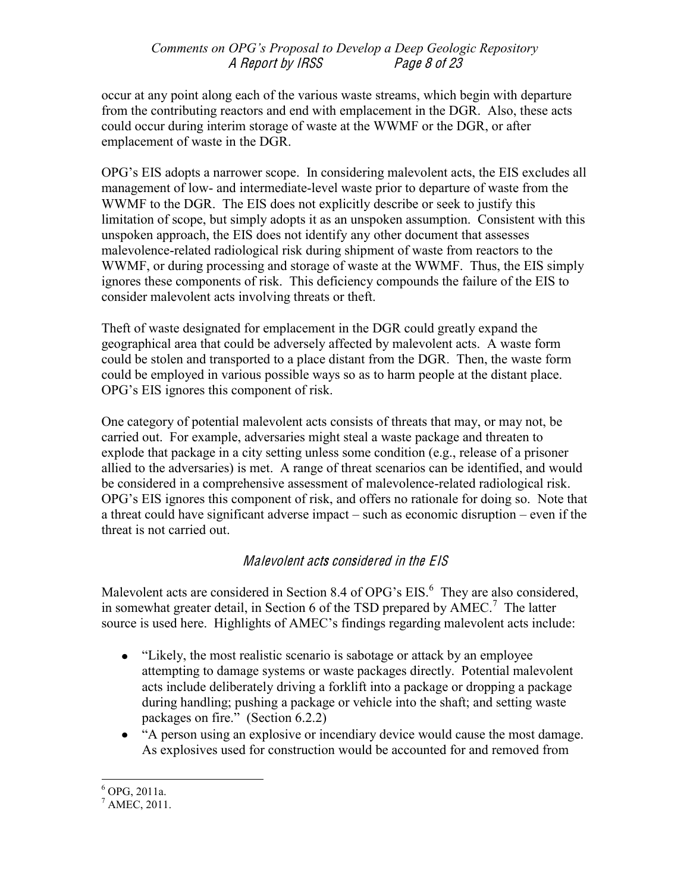### Comments on OPG's Proposal to Develop a Deep Geologic Repository A Report by IRSS Page 8 of 23

occur at any point along each of the various waste streams, which begin with departure from the contributing reactors and end with emplacement in the DGR. Also, these acts could occur during interim storage of waste at the WWMF or the DGR, or after emplacement of waste in the DGR.

OPG's EIS adopts a narrower scope. In considering malevolent acts, the EIS excludes all management of low- and intermediate-level waste prior to departure of waste from the WWMF to the DGR. The EIS does not explicitly describe or seek to justify this limitation of scope, but simply adopts it as an unspoken assumption. Consistent with this unspoken approach, the EIS does not identify any other document that assesses malevolence-related radiological risk during shipment of waste from reactors to the WWMF, or during processing and storage of waste at the WWMF. Thus, the EIS simply ignores these components of risk. This deficiency compounds the failure of the EIS to consider malevolent acts involving threats or theft.

Theft of waste designated for emplacement in the DGR could greatly expand the geographical area that could be adversely affected by malevolent acts. A waste form could be stolen and transported to a place distant from the DGR. Then, the waste form could be employed in various possible ways so as to harm people at the distant place. OPG's EIS ignores this component of risk.

One category of potential malevolent acts consists of threats that may, or may not, be carried out. For example, adversaries might steal a waste package and threaten to explode that package in a city setting unless some condition (e.g., release of a prisoner allied to the adversaries) is met. A range of threat scenarios can be identified, and would be considered in a comprehensive assessment of malevolence-related radiological risk. OPG's EIS ignores this component of risk, and offers no rationale for doing so. Note that a threat could have significant adverse impact  $-$  such as economic disruption  $-$  even if the threat is not carried out.

# Malevolent acts considered in the EIS

Malevolent acts are considered in Section 8.4 of OPG's EIS.<sup>6</sup> They are also considered, in somewhat greater detail, in Section 6 of the TSD prepared by  $\angle AMEC$ .<sup>7</sup> The latter source is used here. Highlights of AMEC's findings regarding malevolent acts include:

- "Likely, the most realistic scenario is sabotage or attack by an employee attempting to damage systems or waste packages directly. Potential malevolent acts include deliberately driving a forklift into a package or dropping a package during handling; pushing a package or vehicle into the shaft; and setting waste packages on fire." (Section  $6.2.2$ )
- "A person using an explosive or incendiary device would cause the most damage. As explosives used for construction would be accounted for and removed from

 $6$  OPG, 2011a.

 $^7$  AMEC, 2011.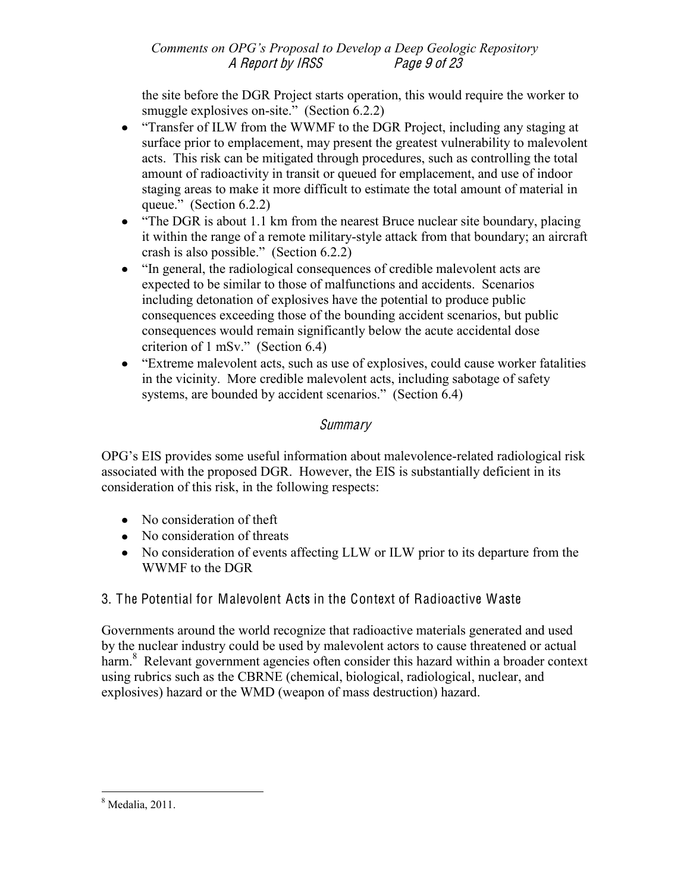## Comments on OPG's Proposal to Develop a Deep Geologic Repository A Report by IRSS Pag<sup>e</sup> 9 <sup>o</sup>f 23

the site before the DGR Project starts operation, this would require the worker to smuggle explosives on-site." (Section  $6.2.2$ )

- "Transfer of ILW from the WWMF to the DGR Project, including any staging at surface prior to emplacement, may present the greatest vulnerability to malevolent acts. This risk can be mitigated through procedures, such as controlling the total amount of radioactivity in transit or queued for emplacement, and use of indoor staging areas to make it more difficult to estimate the total amount of material in queue." (Section  $6.2.2$ )
- "The DGR is about 1.1 km from the nearest Bruce nuclear site boundary, placing it within the range of a remote military-style attack from that boundary; an aircraft crash is also possible." (Section  $6.2.2$ )
- "In general, the radiological consequences of credible malevolent acts are expected to be similar to those of malfunctions and accidents. Scenarios including detonation of explosives have the potential to produce public consequences exceeding those of the bounding accident scenarios, but public consequences would remain significantly below the acute accidental dose criterion of  $1$  mSv." (Section 6.4)
- "Extreme malevolent acts, such as use of explosives, could cause worker fatalities in the vicinity. More credible malevolent acts, including sabotage of safety systems, are bounded by accident scenarios." (Section  $6.4$ )

# Summary

OPG's EIS provides some useful information about malevolence-related radiological risk associated with the proposed DGR. However, the EIS is substantially deficient in its consideration of this risk, in the following respects:

- No consideration of theft
- No consideration of threats
- No consideration of events affecting LLW or ILW prior to its departure from the WWMF to the DGR

# 3. The Potential for Malevolent Acts in the Context of Radioactive Waste

Governments around the world recognize that radioactive materials generated and used by the nuclear industry could be used by malevolent actors to cause threatened or actual harm.<sup>8</sup> Relevant government agencies often consider this hazard within a broader context using rubrics such as the CBRNE (chemical, biological, radiological, nuclear, and explosives) hazard or the WMD (weapon of mass destruction) hazard.

 $8 \text{ Media}, 2011.$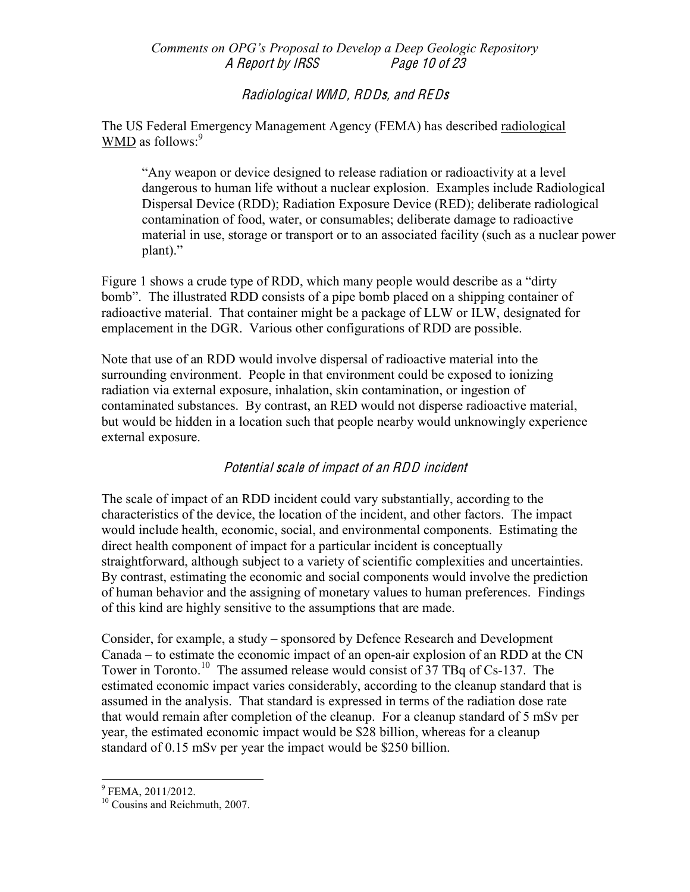#### Comments on OPG's Proposal to Develop a Deep Geologic Repository A Report by IRSS Pag<sup>e</sup> 10 <sup>o</sup>f 23

## Radiological WMD, RDDs, and RED<sup>s</sup>

The US Federal Emergency Management Agency (FEMA) has described radiological  $WMD$  as follows:<sup>9</sup>

"Any weapon or device designed to release radiation or radioactivity at a level dangerous to human life without a nuclear explosion. Examples include Radiological Dispersal Device (RDD); Radiation Exposure Device (RED); deliberate radiological contamination of food, water, or consumables; deliberate damage to radioactive material in use, storage or transport or to an associated facility (such as a nuclear power plant)."

Figure 1 shows a crude type of RDD, which many people would describe as a "dirty" bomb". The illustrated RDD consists of a pipe bomb placed on a shipping container of radioactive material. That container might be a package of LLW or ILW, designated for emplacement in the DGR. Various other configurations of RDD are possible.

Note that use of an RDD would involve dispersal of radioactive material into the surrounding environment. People in that environment could be exposed to ionizing radiation via external exposure, inhalation, skin contamination, or ingestion of contaminated substances. By contrast, an RED would not disperse radioactive material, but would be hidden in a location such that people nearby would unknowingly experience external exposure.

# Potential <sup>s</sup>cal<sup>e</sup> <sup>o</sup>f impact <sup>o</sup>f an RDD incident

The scale of impact of an RDD incident could vary substantially, according to the characteristics of the device, the location of the incident, and other factors. The impact would include health, economic, social, and environmental components. Estimating the direct health component of impact for a particular incident is conceptually straightforward, although subject to a variety of scientific complexities and uncertainties. By contrast, estimating the economic and social components would involve the prediction of human behavior and the assigning of monetary values to human preferences. Findings of this kind are highly sensitive to the assumptions that are made.

Consider, for example, a study – sponsored by Defence Research and Development  $Canada - to estimate the economic impact of an open-air explosion of an RDD at the CN$ Tower in Toronto.<sup>10</sup> The assumed release would consist of  $37$  TBq of Cs-137. The estimated economic impact varies considerably, according to the cleanup standard that is assumed in the analysis. That standard is expressed in terms of the radiation dose rate that would remain after completion of the cleanup. For a cleanup standard of 5 mSv per year, the estimated economic impact would be \$28 billion, whereas for a cleanup standard of 0.15 mSv per year the impact would be \$250 billion.

<sup>&</sup>lt;sup>9</sup> FEMA, 2011/2012.

<sup>&</sup>lt;sup>10</sup> Cousins and Reichmuth, 2007.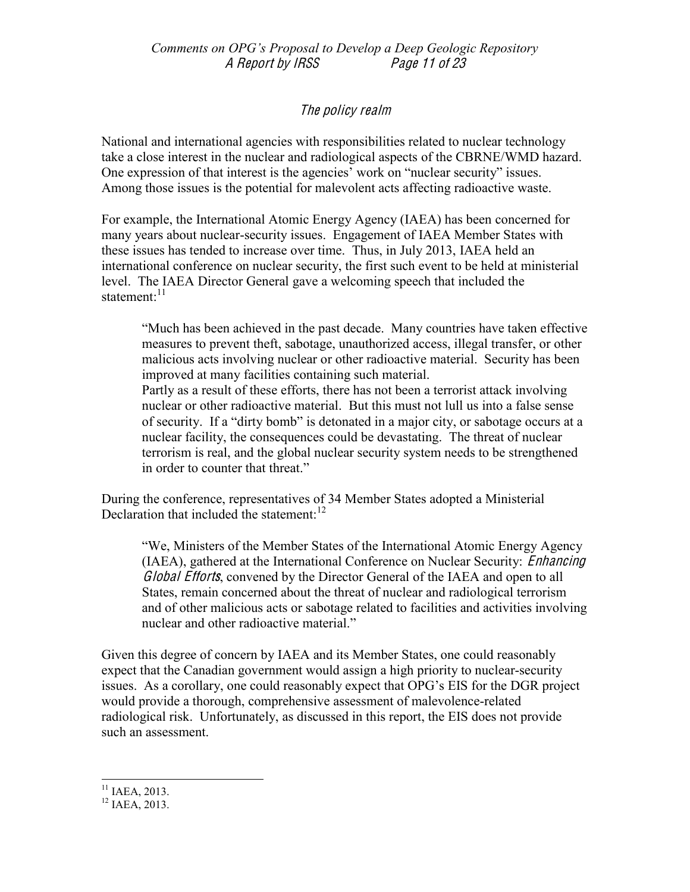# Th<sup>e</sup> poli<sup>c</sup>y <sup>r</sup>ealm

National and international agencies with responsibilities related to nuclear technology take a close interest in the nuclear and radiological aspects of the CBRNE/WMD hazard. One expression of that interest is the agencies' work on "nuclear security" issues. Among those issues is the potential for malevolent acts affecting radioactive waste.

For example, the International Atomic Energy Agency (IAEA) has been concerned for many years about nuclear-security issues. Engagement of IAEA Member States with these issues has tended to increase over time. Thus, in July 2013, IAEA held an international conference on nuclear security, the first such event to be held at ministerial level. The IAEA Director General gave a welcoming speech that included the statement: $^{11}$ 

³Much has been achieved in the past decade. Many countries have taken effective measures to prevent theft, sabotage, unauthorized access, illegal transfer, or other malicious acts involving nuclear or other radioactive material. Security has been improved at many facilities containing such material. Partly as a result of these efforts, there has not been a terrorist attack involving

nuclear or other radioactive material. But this must not lull us into a false sense of security. If a "dirty bomb" is detonated in a major city, or sabotage occurs at a nuclear facility, the consequences could be devastating. The threat of nuclear terrorism is real, and the global nuclear security system needs to be strengthened in order to counter that threat."

During the conference, representatives of 34 Member States adopted a Ministerial Declaration that included the statement: $12$ 

³We, Ministers of the Member States of the International Atomic Energy Agency (IAEA), gathered at the International Conference on Nuclear Security: Enhancing Global Efforts, convened by the Director General of the IAEA and open to all States, remain concerned about the threat of nuclear and radiological terrorism and of other malicious acts or sabotage related to facilities and activities involving nuclear and other radioactive material."

Given this degree of concern by IAEA and its Member States, one could reasonably expect that the Canadian government would assign a high priority to nuclear-security issues. As a corollary, one could reasonably expect that OPG's EIS for the DGR project would provide a thorough, comprehensive assessment of malevolence-related radiological risk. Unfortunately, as discussed in this report, the EIS does not provide such an assessment.

<sup>&</sup>lt;sup>11</sup> IAEA, 2013.<br><sup>12</sup> IAEA, 2013.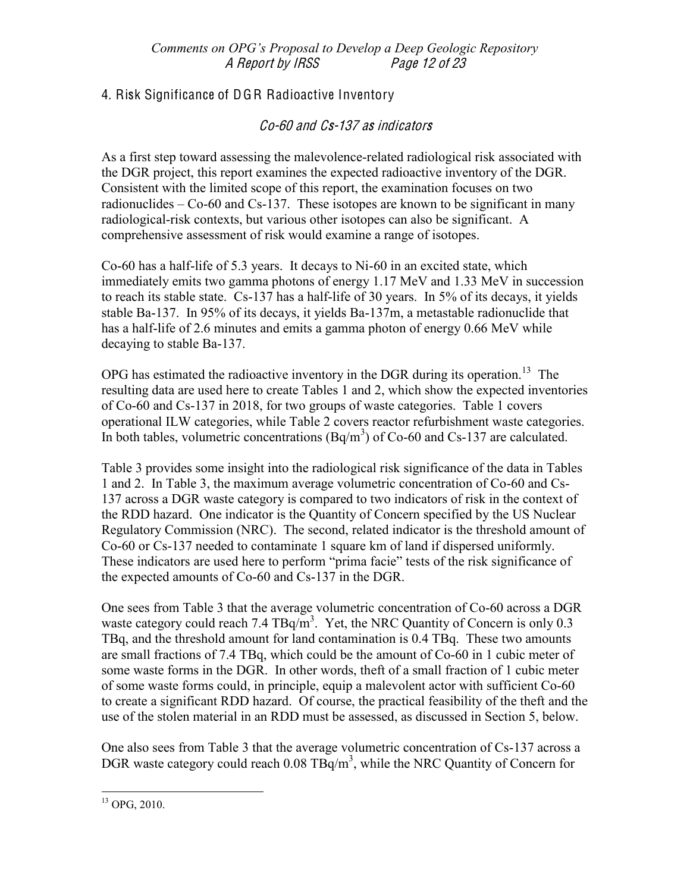# 4. Risk Significance of DGR Radioactive Inventory

# Co-60 and Cs-137 as indicators

As a first step toward assessing the malevolence-related radiological risk associated with the DGR project, this report examines the expected radioactive inventory of the DGR. Consistent with the limited scope of this report, the examination focuses on two radionuclides  $-$  Co-60 and Cs-137. These isotopes are known to be significant in many radiological-risk contexts, but various other isotopes can also be significant. A comprehensive assessment of risk would examine a range of isotopes.

Co-60 has a half-life of 5.3 years. It decays to Ni-60 in an excited state, which immediately emits two gamma photons of energy 1.17 MeV and 1.33 MeV in succession to reach its stable state. Cs-137 has a half-life of 30 years. In 5% of its decays, it yields stable Ba-137. In 95% of its decays, it yields Ba-137m, a metastable radionuclide that has a half-life of 2.6 minutes and emits a gamma photon of energy 0.66 MeV while decaying to stable Ba-137.

OPG has estimated the radioactive inventory in the DGR during its operation.<sup>13</sup> The resulting data are used here to create Tables 1 and 2, which show the expected inventories of Co-60 and Cs-137 in 2018, for two groups of waste categories. Table 1 covers operational ILW categories, while Table 2 covers reactor refurbishment waste categories. In both tables, volumetric concentrations  $(Bq/m<sup>3</sup>)$  of Co-60 and Cs-137 are calculated.

Table 3 provides some insight into the radiological risk significance of the data in Tables 1 and 2. In Table 3, the maximum average volumetric concentration of Co-60 and Cs-137 across a DGR waste category is compared to two indicators of risk in the context of the RDD hazard. One indicator is the Quantity of Concern specified by the US Nuclear Regulatory Commission (NRC). The second, related indicator is the threshold amount of Co-60 or Cs-137 needed to contaminate 1 square km of land if dispersed uniformly. These indicators are used here to perform "prima facie" tests of the risk significance of the expected amounts of Co-60 and Cs-137 in the DGR.

One sees from Table 3 that the average volumetric concentration of Co-60 across a DGR waste category could reach 7.4  $TBq/m<sup>3</sup>$ . Yet, the NRC Quantity of Concern is only 0.3 TBq, and the threshold amount for land contamination is 0.4 TBq. These two amounts are small fractions of 7.4 TBq, which could be the amount of Co-60 in 1 cubic meter of some waste forms in the DGR. In other words, theft of a small fraction of 1 cubic meter of some waste forms could, in principle, equip a malevolent actor with sufficient Co-60 to create a significant RDD hazard. Of course, the practical feasibility of the theft and the use of the stolen material in an RDD must be assessed, as discussed in Section 5, below.

One also sees from Table 3 that the average volumetric concentration of Cs-137 across a DGR waste category could reach  $0.08 \text{ TBq/m}^3$ , while the NRC Quantity of Concern for

 $13$  OPG, 2010.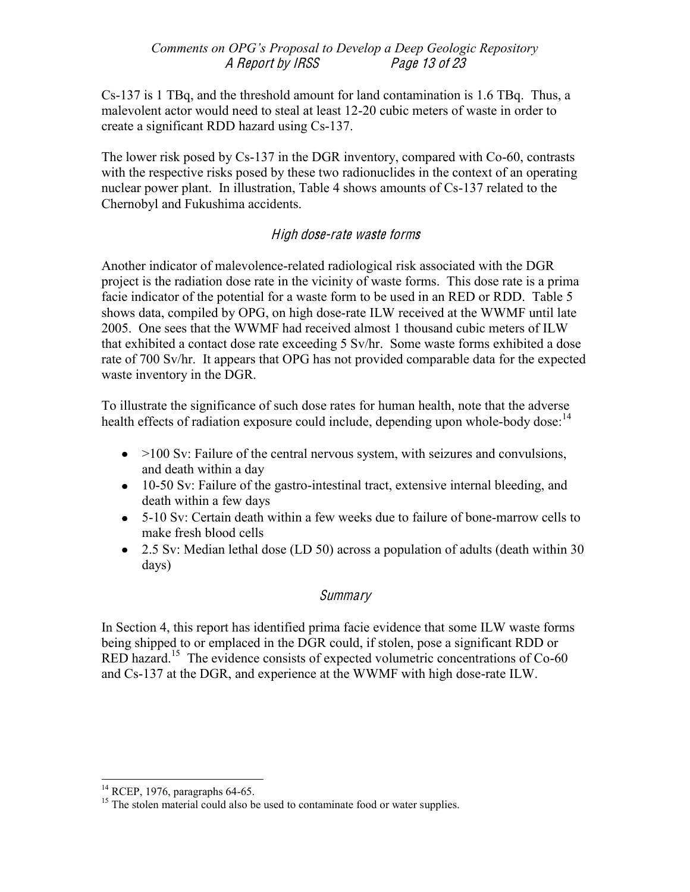Cs-137 is 1 TBq, and the threshold amount for land contamination is 1.6 TBq. Thus, a malevolent actor would need to steal at least 12-20 cubic meters of waste in order to create a significant RDD hazard using Cs-137.

The lower risk posed by Cs-137 in the DGR inventory, compared with Co-60, contrasts with the respective risks posed by these two radionuclides in the context of an operating nuclear power plant. In illustration, Table 4 shows amounts of Cs-137 related to the Chernobyl and Fukushima accidents.

# High dose-rat<sup>e</sup> wast<sup>e</sup> form<sup>s</sup>

Another indicator of malevolence-related radiological risk associated with the DGR project is the radiation dose rate in the vicinity of waste forms. This dose rate is a prima facie indicator of the potential for a waste form to be used in an RED or RDD. Table 5 shows data, compiled by OPG, on high dose-rate ILW received at the WWMF until late 2005. One sees that the WWMF had received almost 1 thousand cubic meters of ILW that exhibited a contact dose rate exceeding 5 Sv/hr. Some waste forms exhibited a dose rate of 700 Sv/hr. It appears that OPG has not provided comparable data for the expected waste inventory in the DGR.

To illustrate the significance of such dose rates for human health, note that the adverse health effects of radiation exposure could include, depending upon whole-body dose:<sup>14</sup>

- $\sim$  >100 Sv: Failure of the central nervous system, with seizures and convulsions, and death within a day
- 10-50 Sv: Failure of the gastro-intestinal tract, extensive internal bleeding, and death within a few days
- 5-10 Sv: Certain death within a few weeks due to failure of bone-marrow cells to make fresh blood cells
- 2.5 Sv: Median lethal dose (LD 50) across a population of adults (death within 30 days)

# **Summary**

In Section 4, this report has identified prima facie evidence that some ILW waste forms being shipped to or emplaced in the DGR could, if stolen, pose a significant RDD or RED hazard.<sup>15</sup> The evidence consists of expected volumetric concentrations of  $Co-60$ and Cs-137 at the DGR, and experience at the WWMF with high dose-rate ILW.

<sup>&</sup>lt;sup>14</sup> RCEP, 1976, paragraphs 64-65.  $15$  The stolen material could also be used to contaminate food or water supplies.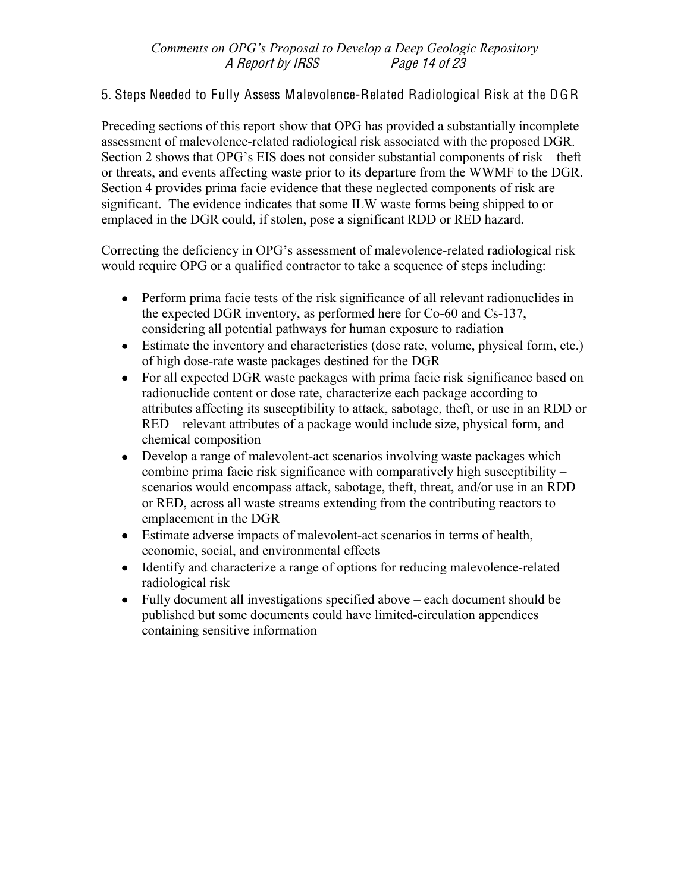# 5. Steps Needed to Fully Assess Malevolence-Related Radiological Risk at the DGR

Preceding sections of this report show that OPG has provided a substantially incomplete assessment of malevolence-related radiological risk associated with the proposed DGR. Section 2 shows that OPG's EIS does not consider substantial components of risk  $-$  theft or threats, and events affecting waste prior to its departure from the WWMF to the DGR. Section 4 provides prima facie evidence that these neglected components of risk are significant. The evidence indicates that some ILW waste forms being shipped to or emplaced in the DGR could, if stolen, pose a significant RDD or RED hazard.

Correcting the deficiency in OPG's assessment of malevolence-related radiological risk would require OPG or a qualified contractor to take a sequence of steps including:

- Perform prima facie tests of the risk significance of all relevant radionuclides in the expected DGR inventory, as performed here for Co-60 and Cs-137, considering all potential pathways for human exposure to radiation
- Estimate the inventory and characteristics (dose rate, volume, physical form, etc.) of high dose-rate waste packages destined for the DGR
- For all expected DGR waste packages with prima facie risk significance based on radionuclide content or dose rate, characterize each package according to attributes affecting its susceptibility to attack, sabotage, theft, or use in an RDD or RED – relevant attributes of a package would include size, physical form, and chemical composition
- Develop a range of malevolent-act scenarios involving waste packages which combine prima facie risk significance with comparatively high susceptibility  $$ scenarios would encompass attack, sabotage, theft, threat, and/or use in an RDD or RED, across all waste streams extending from the contributing reactors to emplacement in the DGR
- Estimate adverse impacts of malevolent-act scenarios in terms of health, economic, social, and environmental effects
- Identify and characterize a range of options for reducing malevolence-related radiological risk
- Fully document all investigations specified above  $-\text{each document should be}$ published but some documents could have limited-circulation appendices containing sensitive information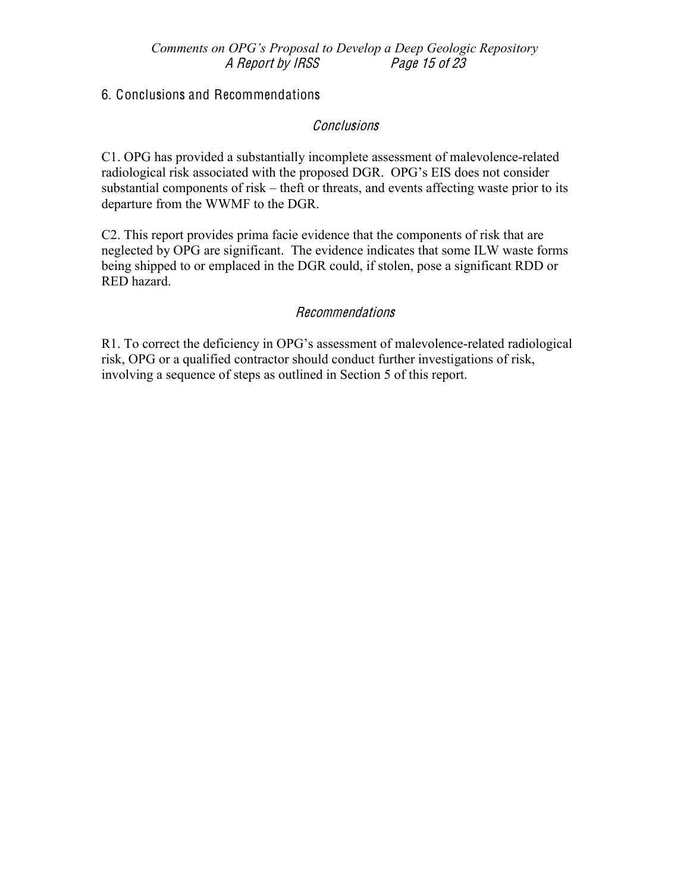# 6. Conclusions and Recommendations

## **Conclusions**

C1. OPG has provided a substantially incomplete assessment of malevolence-related radiological risk associated with the proposed DGR. OPG's EIS does not consider substantial components of risk  $-$  theft or threats, and events affecting waste prior to its departure from the WWMF to the DGR.

C2. This report provides prima facie evidence that the components of risk that are neglected by OPG are significant. The evidence indicates that some ILW waste forms being shipped to or emplaced in the DGR could, if stolen, pose a significant RDD or RED hazard.

## Recommendations

R1. To correct the deficiency in OPG's assessment of malevolence-related radiological risk, OPG or a qualified contractor should conduct further investigations of risk, involving a sequence of steps as outlined in Section 5 of this report.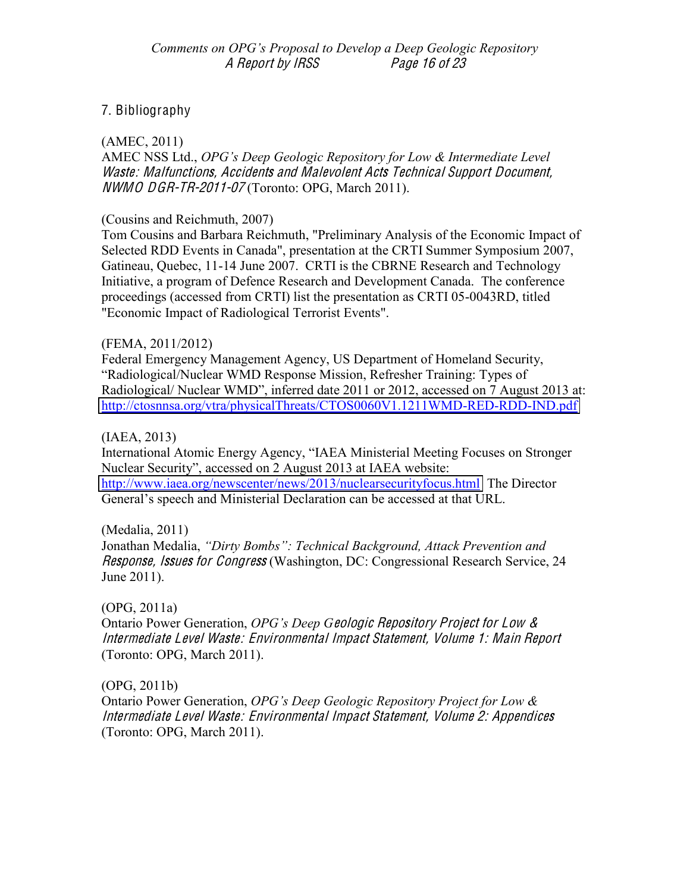# 7. Bibliography

 $(AMEC, 2011)$ 

AMEC NSS Ltd., OPG's Deep Geologic Repository for Low & Intermediate Level Waste: Malfunctions, Accidents and Malevolent Acts Technical Support Document,  $NWMO$  DGR-TR-2011-07 (Toronto: OPG, March 2011).

#### (Cousins and Reichmuth, 2007)

Tom Cousins and Barbara Reichmuth, "Preliminary Analysis of the Economic Impact of Selected RDD Events in Canada", presentation at the CRTI Summer Symposium 2007, Gatineau, Quebec, 11-14 June 2007. CRTI is the CBRNE Research and Technology Initiative, a program of Defence Research and Development Canada. The conference proceedings (accessed from CRTI) list the presentation as CRTI 05-0043RD, titled "Economic Impact of Radiological Terrorist Events".

#### (FEMA, 2011/2012)

Federal Emergency Management Agency, US Department of Homeland Security, "Radiological/Nuclear WMD Response Mission, Refresher Training: Types of Radiological/ Nuclear WMD", inferred date 2011 or 2012, accessed on 7 August 2013 at: http://ctosnnsa.org/vtra/physicalThreats/CTOS0060V1.1211WMD-RED-RDD-IND.pdf

#### $(IAEA, 2013)$

International Atomic Energy Agency, "IAEA Ministerial Meeting Focuses on Stronger Nuclear Security", accessed on 2 August 2013 at IAEA website: http://www.iaea.org/newscenter/news/2013/nuclearsecurityfocus.html The Director General's speech and Ministerial Declaration can be accessed at that URL.

## (Medalia, 2011)

Jonathan Medalia, "Dirty Bombs": Technical Background, Attack Prevention and *Response, Issues for Congress* (Washington, DC: Congressional Research Service, 24 June 2011).

## $(OPG, 2011a)$

Ontario Power Generation, OPG's Deep Geologic Repository Project for Low & Intermediate Level Waste: Environmental Impact Statement, Volume 1: Main Report (Toronto: OPG, March 2011).

## $(OPG, 2011b)$

Ontario Power Generation, OPG's Deep Geologic Repository Project for Low & Intermediate Level Waste: Environmental Impact Statement, Volume 2: Appendices (Toronto: OPG, March 2011).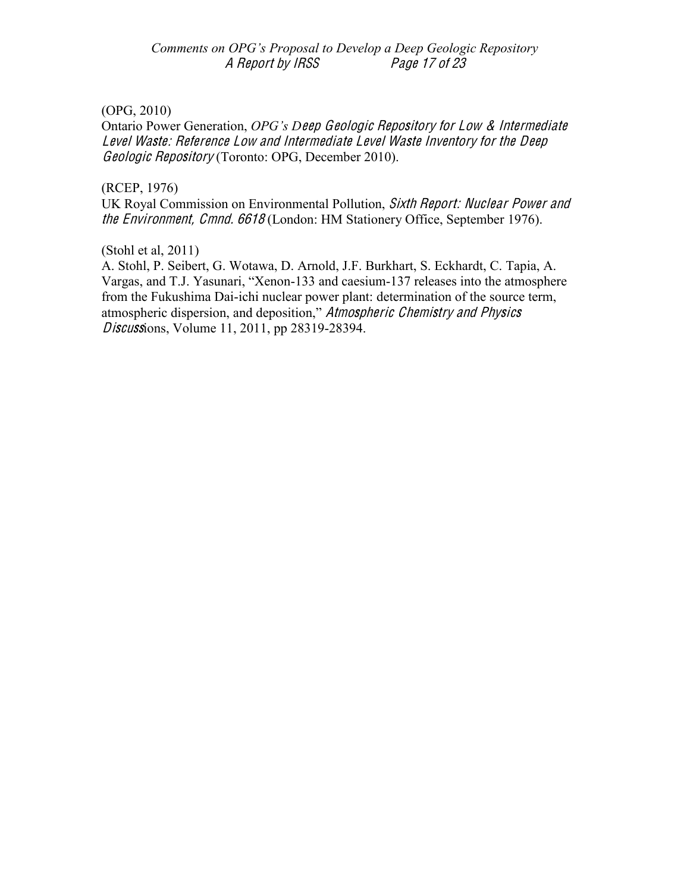Comments on OPG's Proposal to Develop a Deep Geologic Repository A Report by IRSS Page 17 of 23

#### (OPG, 2010)

Ontario Power Generation, *OPG's Deep Geologic Repository for Low & Intermediate* Level Waste: Reference Low and Intermediat<sup>e</sup> Level Wast<sup>e</sup> Inventory for th<sup>e</sup> Deep Geologi<sup>c</sup> Repository (Toronto: OPG, December 2010).

## (RCEP, 1976)

UK Royal Commission on Environmental Pollution, Sixth Report: Nuclear Powe<sup>r</sup> and <sup>t</sup>h<sup>e</sup> Environment, Cmnd. 6618 (London: HM Stationery Office, September 1976).

(Stohl et al, 2011)

A. Stohl, P. Seibert, G. Wotawa, D. Arnold, J.F. Burkhart, S. Eckhardt, C. Tapia, A. Vargas, and T.J. Yasunari, "Xenon-133 and caesium-137 releases into the atmosphere from the Fukushima Dai-ichi nuclear power plant: determination of the source term, atmospheric dispersion, and deposition," Atmospheric Chemistry and Physics Discussions, Volume 11, 2011, pp 28319-28394.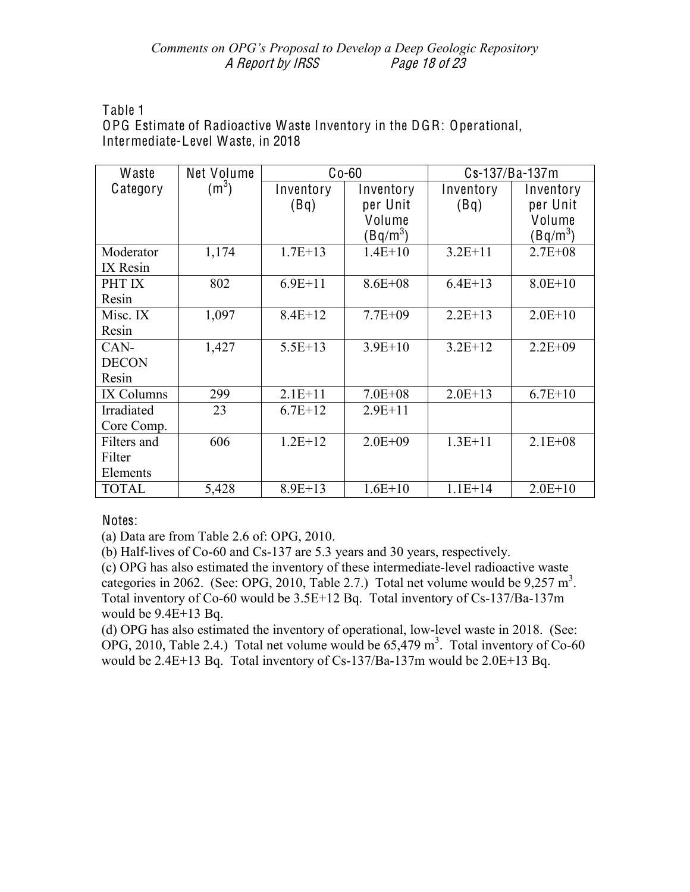#### Comments on OPG's Proposal to Develop a Deep Geologic Repository A Report by IRSS Page 18 of 23

Table 1

OPG Estimate of Radioactive Waste Inventory in the DGR: Operational, Intermediate-Level Waste, in 2018

| Waste        | Net Volume        | $Co-60$     |             | Cs-137/Ba-137m |             |
|--------------|-------------------|-------------|-------------|----------------|-------------|
| Category     | (m <sup>3</sup> ) | Inventory   | Inventory   | Inventory      | Inventory   |
|              |                   | (Bq)        | per Unit    | (Bq)           | per Unit    |
|              |                   |             | Volume      |                | Volume      |
|              |                   |             | $Bq/m^3$    |                | (Bq/m $^3)$ |
| Moderator    | 1,174             | $1.7E + 13$ | $1.4E+10$   | $3.2E + 11$    | $2.7E + 08$ |
| IX Resin     |                   |             |             |                |             |
| PHT IX       | 802               | $6.9E + 11$ | $8.6E + 08$ | $6.4E+13$      | $8.0E + 10$ |
| Resin        |                   |             |             |                |             |
| Misc. IX     | 1,097             | $8.4E+12$   | $7.7E + 09$ | $2.2E+13$      | $2.0E+10$   |
| Resin        |                   |             |             |                |             |
| CAN-         | 1,427             | $5.5E+13$   | $3.9E+10$   | $3.2E+12$      | $2.2E + 09$ |
| <b>DECON</b> |                   |             |             |                |             |
| Resin        |                   |             |             |                |             |
| IX Columns   | 299               | $2.1E+11$   | $7.0E + 08$ | $2.0E+13$      | $6.7E + 10$ |
| Irradiated   | 23                | $6.7E+12$   | $2.9E + 11$ |                |             |
| Core Comp.   |                   |             |             |                |             |
| Filters and  | 606               | $1.2E+12$   | $2.0E + 09$ | $1.3E+11$      | $2.1E + 08$ |
| Filter       |                   |             |             |                |             |
| Elements     |                   |             |             |                |             |
| <b>TOTAL</b> | 5,428             | $8.9E+13$   | $1.6E+10$   | $1.1E + 14$    | $2.0E+10$   |

Notes:

(a) Data are from Table 2.6 of: OPG, 2010.

(b) Half-lives of Co-60 and Cs-137 are 5.3 years and 30 years, respectively.

(c) OPG has also estimated the inventory of these intermediate-level radioactive waste categories in 2062. (See: OPG, 2010, Table 2.7.) Total net volume would be  $9,257 \text{ m}^3$ . Total inventory of Co-60 would be 3.5E+12 Bq. Total inventory of Cs-137/Ba-137m would be  $9.4E+13$  Bq.

(d) OPG has also estimated the inventory of operational, low-level waste in 2018. (See: OPG, 2010, Table 2.4.) Total net volume would be  $65,479 \text{ m}^3$ . Total inventory of Co-60 would be  $2.4E+13$  Bq. Total inventory of Cs-137/Ba-137m would be  $2.0E+13$  Bq.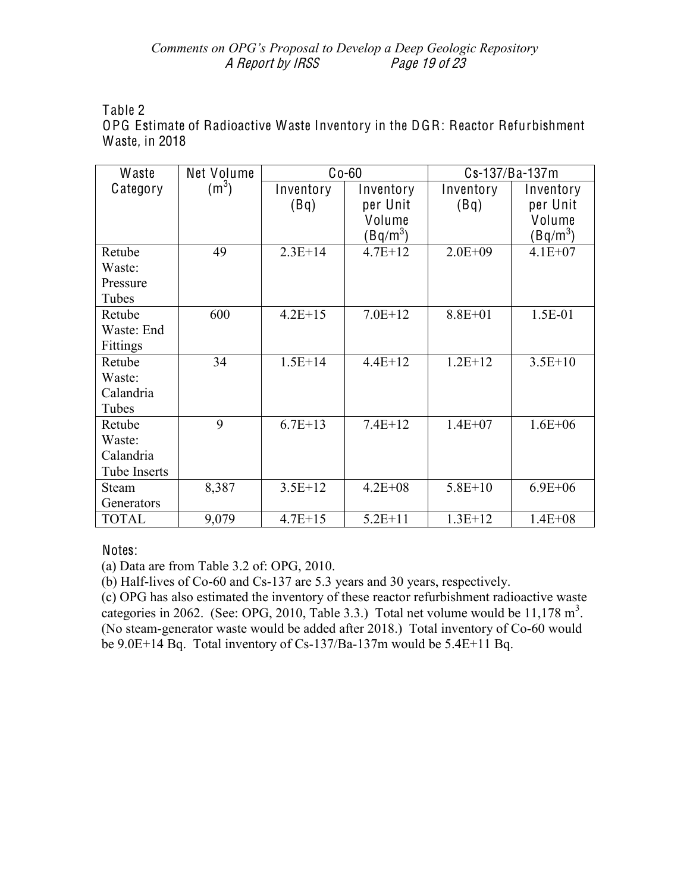#### Comments on OPG's Proposal to Develop a Deep Geologic Repository A Report by IRSS Page 19 of 23

Table 2

OPG Estimate of Radioactive Waste Inventory in the DGR: Reactor Refurbishment Waste, in 2018

| Waste        | Net Volume | $Co-60$     |             | Cs-137/Ba-137m |             |
|--------------|------------|-------------|-------------|----------------|-------------|
| Category     | $(m^3)$    | Inventory   | Inventory   | Inventory      | Inventory   |
|              |            | (Bq)        | per Unit    | (Bq)           | per Unit    |
|              |            |             | Volume      |                | Volume      |
|              |            |             | $(Bq/m^3)$  |                | $(Bq/m^3)$  |
| Retube       | 49         | $2.3E+14$   | $4.7E+12$   | $2.0E + 09$    | $4.1E + 07$ |
| Waste:       |            |             |             |                |             |
| Pressure     |            |             |             |                |             |
| Tubes        |            |             |             |                |             |
| Retube       | 600        | $4.2E+15$   | $7.0E+12$   | $8.8E + 01$    | 1.5E-01     |
| Waste: End   |            |             |             |                |             |
| Fittings     |            |             |             |                |             |
| Retube       | 34         | $1.5E + 14$ | $4.4E+12$   | $1.2E+12$      | $3.5E+10$   |
| Waste:       |            |             |             |                |             |
| Calandria    |            |             |             |                |             |
| Tubes        |            |             |             |                |             |
| Retube       | 9          | $6.7E+13$   | $7.4E+12$   | $1.4E + 07$    | $1.6E + 06$ |
| Waste:       |            |             |             |                |             |
| Calandria    |            |             |             |                |             |
| Tube Inserts |            |             |             |                |             |
| <b>Steam</b> | 8,387      | $3.5E+12$   | $4.2E + 08$ | $5.8E + 10$    | $6.9E + 06$ |
| Generators   |            |             |             |                |             |
| <b>TOTAL</b> | 9,079      | $4.7E + 15$ | $5.2E + 11$ | $1.3E+12$      | $1.4E + 08$ |

# Notes:

(a) Data are from Table 3.2 of: OPG, 2010.

(b) Half-lives of Co-60 and Cs-137 are 5.3 years and 30 years, respectively.

(c) OPG has also estimated the inventory of these reactor refurbishment radioactive waste categories in 2062. (See: OPG, 2010, Table 3.3.) Total net volume would be  $11,178 \text{ m}^3$ . (No steam-generator waste would be added after 2018.) Total inventory of Co-60 would be 9.0E+14 Bq. Total inventory of Cs-137/Ba-137m would be 5.4E+11 Bq.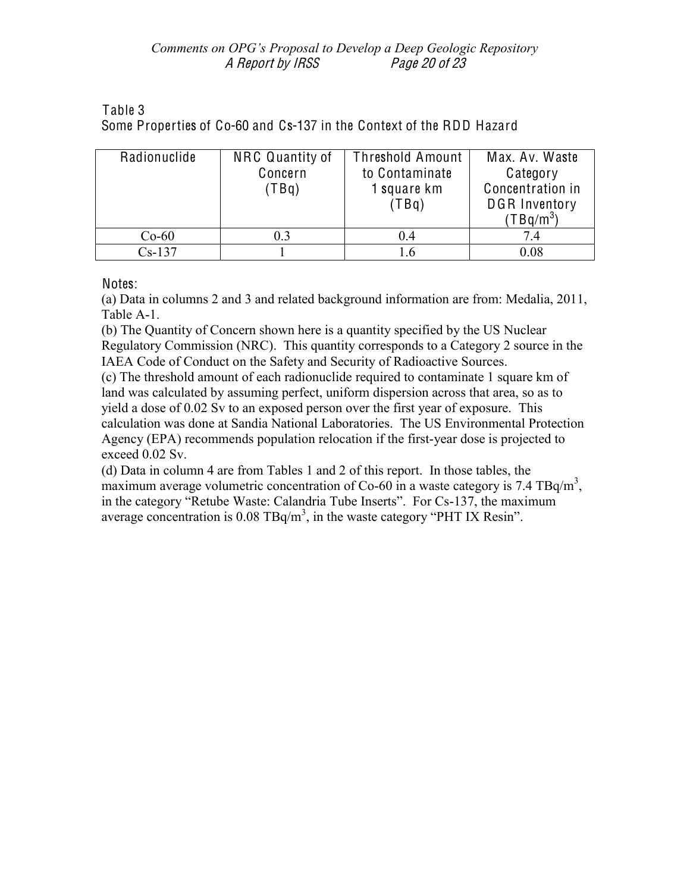| Table 3                                                              |  |  |  |  |
|----------------------------------------------------------------------|--|--|--|--|
| Some Properties of Co-60 and Cs-137 in the Context of the RDD Hazard |  |  |  |  |

| Radionuclide | NRC Quantity of<br>Concern<br>(TBq) | <b>Threshold Amount</b><br>to Contaminate<br>1 square km<br>(TBq) | Max. Av. Waste<br>Category<br>Concentration in<br><b>DGR Inventory</b><br>(TBq/m $^3$ ) |
|--------------|-------------------------------------|-------------------------------------------------------------------|-----------------------------------------------------------------------------------------|
| $Co-60$      | 0.3                                 | 0.4                                                               | 7.4                                                                                     |
| $Cs-137$     |                                     | 1.6                                                               | 0.08                                                                                    |

Notes:

(a) Data in columns 2 and 3 and related background information are from: Medalia, 2011, Table A-1.

(b) The Quantity of Concern shown here is a quantity specified by the US Nuclear Regulatory Commission (NRC). This quantity corresponds to a Category 2 source in the IAEA Code of Conduct on the Safety and Security of Radioactive Sources.

(c) The threshold amount of each radionuclide required to contaminate 1 square km of land was calculated by assuming perfect, uniform dispersion across that area, so as to yield a dose of 0.02 Sv to an exposed person over the first year of exposure. This calculation was done at Sandia National Laboratories. The US Environmental Protection Agency (EPA) recommends population relocation if the first-year dose is projected to exceed 0.02 Sv.

(d) Data in column 4 are from Tables 1 and 2 of this report. In those tables, the maximum average volumetric concentration of Co-60 in a waste category is 7.4 TBq/m<sup>3</sup>. in the category "Retube Waste: Calandria Tube Inserts". For Cs-137, the maximum average concentration is  $0.08 \text{ TBq/m}^3$ , in the waste category "PHT IX Resin".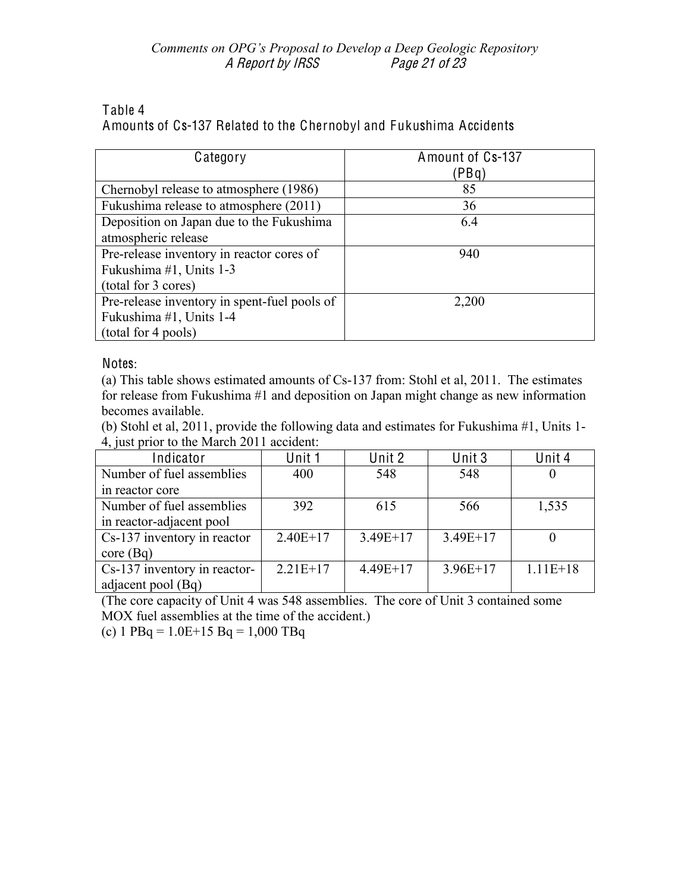## Table 4

Amounts of Cs-137 Related to the Chernobyl and Fukushima Accidents

| Category                                     | Amount of Cs-137<br>(PBq) |
|----------------------------------------------|---------------------------|
|                                              |                           |
| Chernobyl release to atmosphere (1986)       | 85                        |
| Fukushima release to atmosphere (2011)       | 36                        |
| Deposition on Japan due to the Fukushima     | 6.4                       |
| atmospheric release                          |                           |
| Pre-release inventory in reactor cores of    | 940                       |
| Fukushima #1, Units 1-3                      |                           |
| (total for 3 cores)                          |                           |
| Pre-release inventory in spent-fuel pools of | 2,200                     |
| Fukushima #1, Units 1-4                      |                           |
| (total for 4 pools)                          |                           |

Notes:

(a) This table shows estimated amounts of Cs-137 from: Stohl et al, 2011. The estimates for release from Fukushima #1 and deposition on Japan might change as new information becomes available.

(b) Stohl et al, 2011, provide the following data and estimates for Fukushima #1, Units 1- 4, just prior to the March 2011 accident:

| Indicator                    | Unit 1     | Unit 2     | Unit 3     | Unit 4     |
|------------------------------|------------|------------|------------|------------|
| Number of fuel assemblies    | 400        | 548        | 548        |            |
| in reactor core              |            |            |            |            |
| Number of fuel assemblies    | 392        | 615        | 566        | 1,535      |
| in reactor-adjacent pool     |            |            |            |            |
| Cs-137 inventory in reactor  | $2.40E+17$ | $3.49E+17$ | $3.49E+17$ |            |
| core(Bq)                     |            |            |            |            |
| Cs-137 inventory in reactor- | $2.21E+17$ | $4.49E+17$ | $3.96E+17$ | $1.11E+18$ |
| adjacent pool (Bq)           |            |            |            |            |

(The core capacity of Unit 4 was 548 assemblies. The core of Unit 3 contained some MOX fuel assemblies at the time of the accident.)

(c)  $1$  PBq =  $1.0E+15$  Bq =  $1,000$  TBq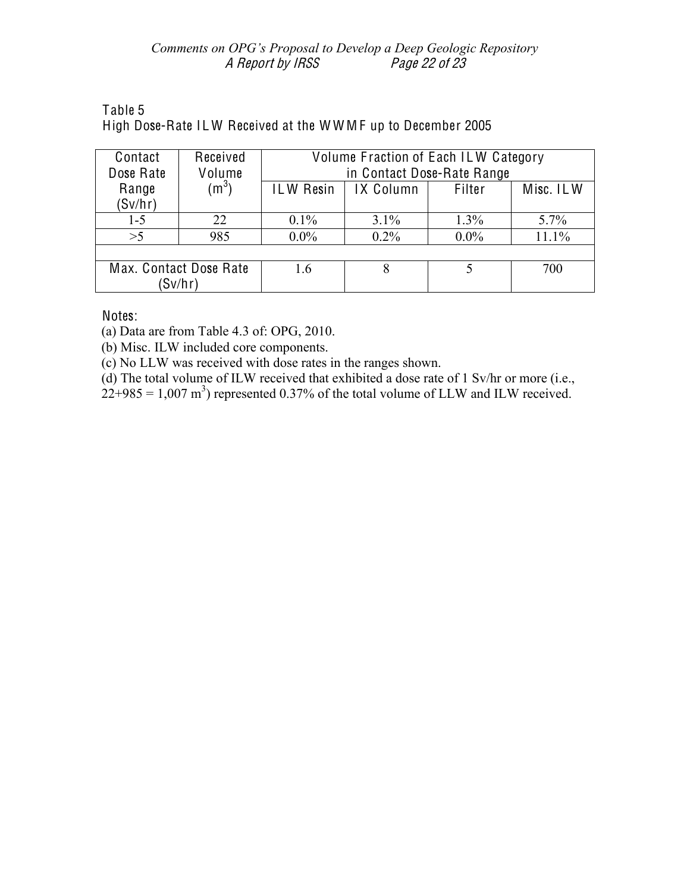## Comments on OPG's Proposal to Develop a Deep Geologic Repository A Report by IRSS Page 22 of 23

# Table 5 High Dose-Rate ILW Received at the WWMF up to December 2005

| Contact<br>Dose Rate              | Received<br>Volume | Volume Fraction of Each ILW Category<br>in Contact Dose-Rate Range |           |         |           |  |  |
|-----------------------------------|--------------------|--------------------------------------------------------------------|-----------|---------|-----------|--|--|
| Range<br>(Sv/hr)                  | (m <sup>3</sup> )  | <b>ILW Resin</b>                                                   | IX Column | Filter  | Misc. ILW |  |  |
| $1 - 5$                           | 22                 | $0.1\%$                                                            | 3.1%      | 1.3%    | 5.7%      |  |  |
| >5                                | 985                | $0.0\%$                                                            | $0.2\%$   | $0.0\%$ | 11.1%     |  |  |
|                                   |                    |                                                                    |           |         |           |  |  |
| Max. Contact Dose Rate<br>(Sv/hr) |                    | 16                                                                 | 8         |         | 700       |  |  |

Notes:

(a) Data are from Table 4.3 of: OPG, 2010.

(b) Misc. ILW included core components.

(c) No LLW was received with dose rates in the ranges shown.

(d) The total volume of ILW received that exhibited a dose rate of 1 Sv/hr or more (i.e.,

 $22+985 = 1,007 \text{ m}^3$ ) represented 0.37% of the total volume of LLW and ILW received.